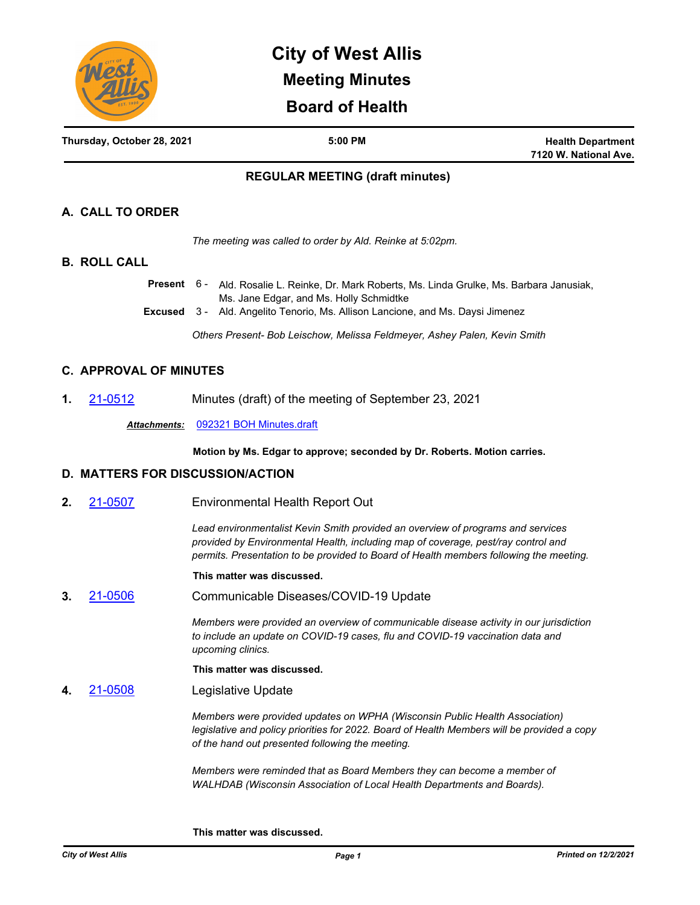

# **City of West Allis Meeting Minutes Board of Health**

| Thursday, October 28, 2021 | 5:00 PM | <b>Health Department</b> |
|----------------------------|---------|--------------------------|
|                            |         | 7120 W. National Ave.    |

# **REGULAR MEETING (draft minutes)**

# **A. CALL TO ORDER**

*The meeting was called to order by Ald. Reinke at 5:02pm.*

#### **B. ROLL CALL**

Present 6- Ald. Rosalie L. Reinke, Dr. Mark Roberts, Ms. Linda Grulke, Ms. Barbara Janusiak, Ms. Jane Edgar, and Ms. Holly Schmidtke

**Excused** 3 - Ald. Angelito Tenorio, Ms. Allison Lancione, and Ms. Daysi Jimenez

*Others Present- Bob Leischow, Melissa Feldmeyer, Ashey Palen, Kevin Smith*

# **C. APPROVAL OF MINUTES**

**1.** [21-0512](http://westalliswi.legistar.com/gateway.aspx?m=l&id=/matter.aspx?key=27992) Minutes (draft) of the meeting of September 23, 2021

*Attachments:* [092321 BOH Minutes.draft](http://westalliswi.legistar.com/gateway.aspx?M=F&ID=a7ad2e8e-7e02-4653-814d-38c0f98d0799.pdf)

**Motion by Ms. Edgar to approve; seconded by Dr. Roberts. Motion carries.**

### **D. MATTERS FOR DISCUSSION/ACTION**

**2.** [21-0507](http://westalliswi.legistar.com/gateway.aspx?m=l&id=/matter.aspx?key=27987) Environmental Health Report Out

*Lead environmentalist Kevin Smith provided an overview of programs and services provided by Environmental Health, including map of coverage, pest/ray control and permits. Presentation to be provided to Board of Health members following the meeting.* 

#### **This matter was discussed.**

**3.** [21-0506](http://westalliswi.legistar.com/gateway.aspx?m=l&id=/matter.aspx?key=27988) Communicable Diseases/COVID-19 Update

*Members were provided an overview of communicable disease activity in our jurisdiction to include an update on COVID-19 cases, flu and COVID-19 vaccination data and upcoming clinics.* 

**This matter was discussed.**

**4.** [21-0508](http://westalliswi.legistar.com/gateway.aspx?m=l&id=/matter.aspx?key=27989) Legislative Update

*Members were provided updates on WPHA (Wisconsin Public Health Association) legislative and policy priorities for 2022. Board of Health Members will be provided a copy of the hand out presented following the meeting.*

*Members were reminded that as Board Members they can become a member of WALHDAB (Wisconsin Association of Local Health Departments and Boards).* 

**This matter was discussed.**